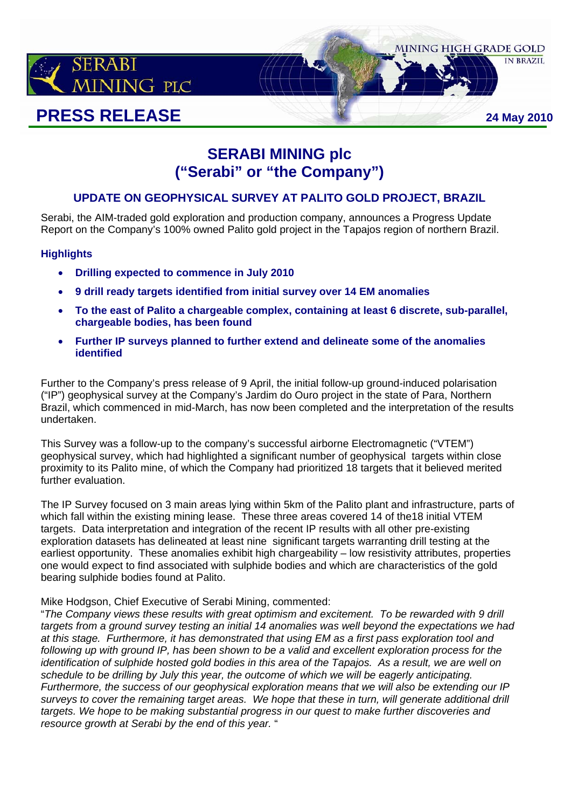

# **SERABI MINING plc ("Serabi" or "the Company")**

## **UPDATE ON GEOPHYSICAL SURVEY AT PALITO GOLD PROJECT, BRAZIL**

Serabi, the AIM-traded gold exploration and production company, announces a Progress Update Report on the Company's 100% owned Palito gold project in the Tapajos region of northern Brazil.

## **Highlights**

- **Drilling expected to commence in July 2010**
- **9 drill ready targets identified from initial survey over 14 EM anomalies**
- **To the east of Palito a chargeable complex, containing at least 6 discrete, sub-parallel, chargeable bodies, has been found**
- **Further IP surveys planned to further extend and delineate some of the anomalies identified**

Further to the Company's press release of 9 April, the initial follow-up ground-induced polarisation ("IP") geophysical survey at the Company's Jardim do Ouro project in the state of Para, Northern Brazil, which commenced in mid-March, has now been completed and the interpretation of the results undertaken.

This Survey was a follow-up to the company's successful airborne Electromagnetic ("VTEM") geophysical survey, which had highlighted a significant number of geophysical targets within close proximity to its Palito mine, of which the Company had prioritized 18 targets that it believed merited further evaluation.

The IP Survey focused on 3 main areas lying within 5km of the Palito plant and infrastructure, parts of which fall within the existing mining lease. These three areas covered 14 of the18 initial VTEM targets. Data interpretation and integration of the recent IP results with all other pre-existing exploration datasets has delineated at least nine significant targets warranting drill testing at the earliest opportunity. These anomalies exhibit high chargeability – low resistivity attributes, properties one would expect to find associated with sulphide bodies and which are characteristics of the gold bearing sulphide bodies found at Palito.

Mike Hodgson, Chief Executive of Serabi Mining, commented:

"*The Company views these results with great optimism and excitement. To be rewarded with 9 drill targets from a ground survey testing an initial 14 anomalies was well beyond the expectations we had at this stage. Furthermore, it has demonstrated that using EM as a first pass exploration tool and following up with ground IP, has been shown to be a valid and excellent exploration process for the identification of sulphide hosted gold bodies in this area of the Tapajos. As a result, we are well on schedule to be drilling by July this year, the outcome of which we will be eagerly anticipating. Furthermore, the success of our geophysical exploration means that we will also be extending our IP surveys to cover the remaining target areas. We hope that these in turn, will generate additional drill targets. We hope to be making substantial progress in our quest to make further discoveries and resource growth at Serabi by the end of this year.* "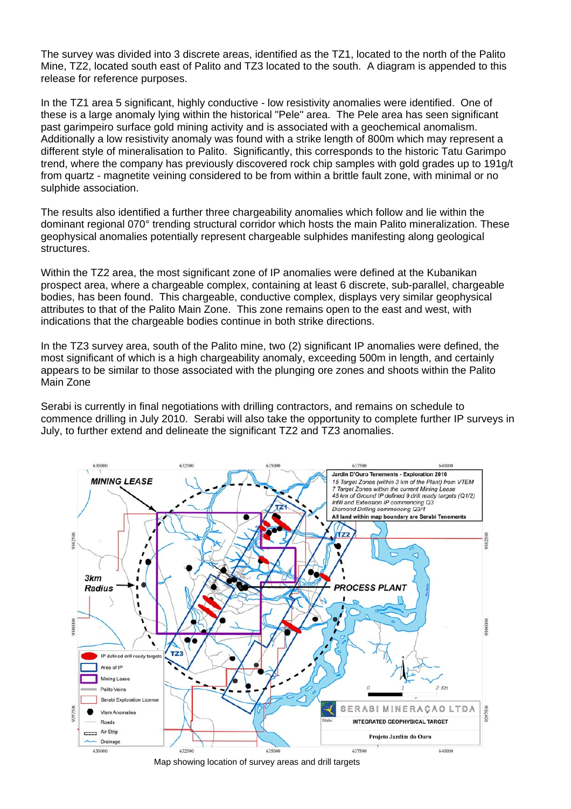The survey was divided into 3 discrete areas, identified as the TZ1, located to the north of the Palito Mine, TZ2, located south east of Palito and TZ3 located to the south. A diagram is appended to this release for reference purposes.

In the TZ1 area 5 significant, highly conductive - low resistivity anomalies were identified. One of these is a large anomaly lying within the historical "Pele" area. The Pele area has seen significant past garimpeiro surface gold mining activity and is associated with a geochemical anomalism. Additionally a low resistivity anomaly was found with a strike length of 800m which may represent a different style of mineralisation to Palito. Significantly, this corresponds to the historic Tatu Garimpo trend, where the company has previously discovered rock chip samples with gold grades up to 191g/t from quartz - magnetite veining considered to be from within a brittle fault zone, with minimal or no sulphide association.

The results also identified a further three chargeability anomalies which follow and lie within the dominant regional 070° trending structural corridor which hosts the main Palito mineralization. These geophysical anomalies potentially represent chargeable sulphides manifesting along geological structures.

Within the TZ2 area, the most significant zone of IP anomalies were defined at the Kubanikan prospect area, where a chargeable complex, containing at least 6 discrete, sub-parallel, chargeable bodies, has been found. This chargeable, conductive complex, displays very similar geophysical attributes to that of the Palito Main Zone. This zone remains open to the east and west, with indications that the chargeable bodies continue in both strike directions.

In the TZ3 survey area, south of the Palito mine, two (2) significant IP anomalies were defined, the most significant of which is a high chargeability anomaly, exceeding 500m in length, and certainly appears to be similar to those associated with the plunging ore zones and shoots within the Palito Main Zone

Serabi is currently in final negotiations with drilling contractors, and remains on schedule to commence drilling in July 2010. Serabi will also take the opportunity to complete further IP surveys in July, to further extend and delineate the significant TZ2 and TZ3 anomalies.



Map showing location of survey areas and drill targets